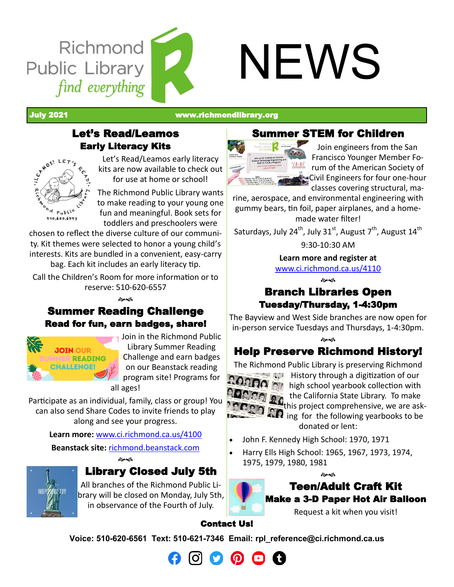

July 2021 [www.richmondlibrary.org](http://www.richmondlibrary.org)

## Let's Read/Leamos Early Literacy Kits



Let's Read/Leamos early literacy kits are now available to check out for use at home or school!

The Richmond Public Library wants to make reading to your young one fun and meaningful. Book sets for toddlers and preschoolers were

chosen to reflect the diverse culture of our community. Kit themes were selected to honor a young child's interests. Kits are bundled in a convenient, easy-carry bag. Each kit includes an early literacy tip.

Call the Children's Room for more information or to reserve: 510-620-6557

**Beach** 

## Summer Reading Challenge Read for fun, earn badges, share!



Join in the Richmond Public Library Summer Reading Challenge and earn badges on our Beanstack reading program site! Programs for

all ages!

Participate as an individual, family, class or group! You can also send Share Codes to invite friends to play along and see your progress.

**Learn more:** [www.ci.richmond.ca.us/4100](http://www.ci.richmond.ca.us/4100/Reading-Challenges)

**Beanstack site:** [richmond.beanstack.com](https://richmond.beanstack.com/) কৈৰ্জ



# Library Closed July 5th

All branches of the Richmond Public Library will be closed on Monday, July 5th, in observance of the Fourth of July.

# Summer STEM for Children



Join engineers from the San Francisco Younger Member Forum of the American Society of Civil Engineers for four one-hour classes covering structural, ma-

rine, aerospace, and environmental engineering with gummy bears, tin foil, paper airplanes, and a homemade water filter!

Saturdays, July 24<sup>th</sup>, July 31<sup>st</sup>, August 7<sup>th</sup>, August 14<sup>th</sup> 9:30-10:30 AM

**Learn more and register at** 

[www.ci.richmond.ca.us/4110](http://www.ci.richmond.ca.us/4110/Summer-Programs) డిత

# Branch Libraries Open Tuesday/Thursday, 1-4:30pm

The Bayview and West Side branches are now open for in-person service Tuesdays and Thursdays, 1-4:30pm.

**Beach** Help Preserve Richmond History!

The Richmond Public Library is preserving Richmond



**History through a digitization of our High school yearbook collection with** the California State Library. To make **the California State Election**, we are ask-<br>this project comprehensive, we are ask-**AP** ing for the following yearbooks to be donated or lent:

- John F. Kennedy High School: 1970, 1971
- Harry Ells High School: 1965, 1967, 1973, 1974, 1975, 1979, 1980, 1981



Request a kit when you visit!

#### Contact Us!

**Voice: 510-620-6561 Text: 510-621-7346 Email: [rpl\\_reference@ci.richmond.ca.us](mailto:rpl_reference@ci.richmond.ca.us)**